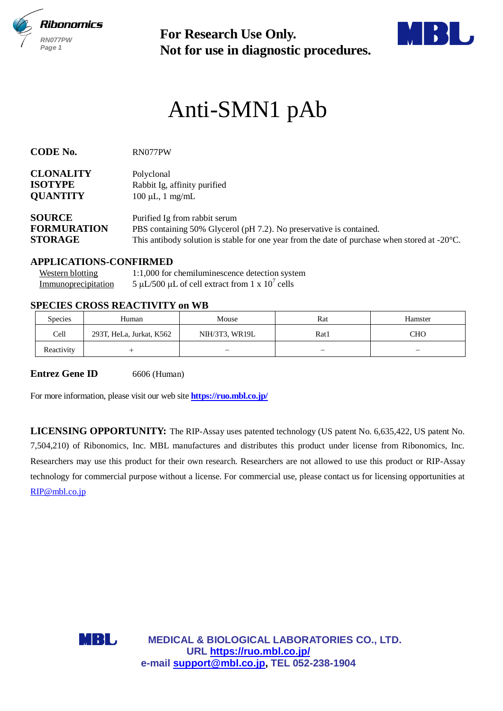

**Not for use in diagnostic procedures.**



# Anti-SMN1 pAb

| <b>CODE No.</b> |  |
|-----------------|--|
|-----------------|--|

**CODE No.** RN077PW

| <b>CLONALITY</b> | Polyclonal                   |
|------------------|------------------------------|
| <b>ISOTYPE</b>   | Rabbit Ig, affinity purified |
| <b>QUANTITY</b>  | $100 \mu L$ , 1 mg/mL        |

| <b>SOURCE</b>      | Purified Ig from rabbit serum                                                                           |
|--------------------|---------------------------------------------------------------------------------------------------------|
| <b>FORMURATION</b> | PBS containing 50% Glycerol (pH 7.2). No preservative is contained.                                     |
| <b>STORAGE</b>     | This antibody solution is stable for one year from the date of purchase when stored at $-20^{\circ}$ C. |

## **APPLICATIONS-CONFIRMED**

| <b>Western blotting</b> | 1:1,000 for chemiluminescence detection system    |
|-------------------------|---------------------------------------------------|
| Immunoprecipitation     | 5 µL/500 µL of cell extract from 1 x $10^7$ cells |

## **SPECIES CROSS REACTIVITY on WB**

| Species    | Human                    | Mouse          | Rat  | Hamster                  |
|------------|--------------------------|----------------|------|--------------------------|
| Cell       | 293T, HeLa, Jurkat, K562 | NIH/3T3, WR19L | Rat1 | СНО                      |
| Reactivity |                          | -              | -    | $\overline{\phantom{0}}$ |

**Entrez Gene ID** 6606 (Human)

For more information, please visit our web site **<https://ruo.mbl.co.jp/>**

For Research Use Only.<br>
Not for use in diagnostic procedure<br>
Anti-SMN1 pAb<br>
sometrical<br>
substite anticompetitive<br>
supporting anticompetitive<br>
the property of the summary particle<br>
of  $\mu L$ , if may multi-<br>
is anticompetible **LICENSING OPPORTUNITY:** The RIP-Assay uses patented technology (US patent No. 6,635,422, US patent No. 7,504,210) of Ribonomics, Inc. MBL manufactures and distributes this product under license from Ribonomics, Inc. Researchers may use this product for their own research. Researchers are not allowed to use this product or RIP-Assay technology for commercial purpose without a license. For commercial use, please contact us for licensing opportunities at [RIP@mbl.co.jp](mailto:RIP@mbl.co.jp)



**MEDICAL & BIOLOGICAL LABORATORIES CO., LTD. URL https://ruo.mbl.co.jp/**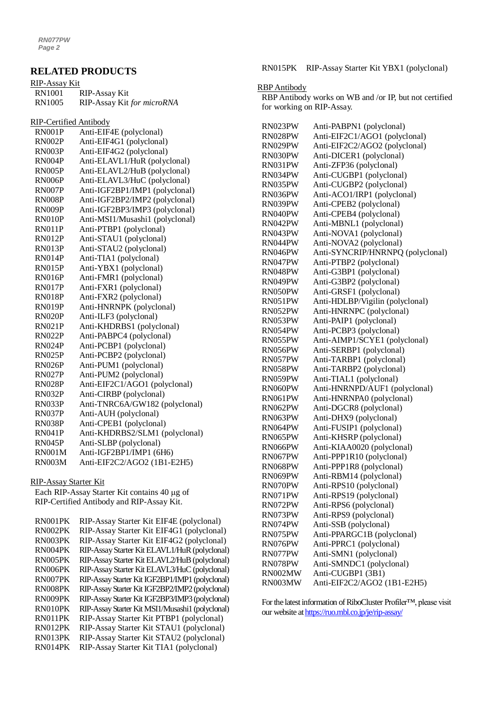## **RELATED PRODUCTS**

| RIP-Assay Kit |                            |
|---------------|----------------------------|
| <b>RN1001</b> | RIP-Assay Kit              |
| <b>RN1005</b> | RIP-Assay Kit for microRNA |

RIP-Certified Antibody

| <b>RN001P</b> | Anti-EIF4E (polyclonal)         |
|---------------|---------------------------------|
| <b>RN002P</b> | Anti-EIF4G1 (polyclonal)        |
| RN003P        | Anti-EIF4G2 (polyclonal)        |
| <b>RN004P</b> | Anti-ELAVL1/HuR (polyclonal)    |
| <b>RN005P</b> | Anti-ELAVL2/HuB (polyclonal)    |
| <b>RN006P</b> | Anti-ELAVL3/HuC (polyclonal)    |
| <b>RN007P</b> | Anti-IGF2BP1/IMP1 (polyclonal)  |
| <b>RN008P</b> | Anti-IGF2BP2/IMP2 (polyclonal)  |
| RN009P        | Anti-IGF2BP3/IMP3 (polyclonal)  |
| <b>RN010P</b> | Anti-MSI1/Musashi1 (polyclonal) |
| RN011P        | Anti-PTBP1 (polyclonal)         |
| <b>RN012P</b> | Anti-STAU1 (polyclonal)         |
| <b>RN013P</b> | Anti-STAU2 (polyclonal)         |
| <b>RN014P</b> | Anti-TIA1 (polyclonal)          |
| <b>RN015P</b> | Anti-YBX1 (polyclonal)          |
| <b>RN016P</b> | Anti-FMR1 (polyclonal)          |
| <b>RN017P</b> | Anti-FXR1 (polyclonal)          |
| <b>RN018P</b> | Anti-FXR2 (polyclonal)          |
| <b>RN019P</b> | Anti-HNRNPK (polyclonal)        |
| RN020P        | Anti-ILF3 (polyclonal)          |
| <b>RN021P</b> | Anti-KHDRBS1 (polyclonal)       |
| <b>RN022P</b> | Anti-PABPC4 (polyclonal)        |
| <b>RN024P</b> | Anti-PCBP1 (polyclonal)         |
| <b>RN025P</b> | Anti-PCBP2 (polyclonal)         |
| <b>RN026P</b> | Anti-PUM1 (polyclonal)          |
| <b>RN027P</b> | Anti-PUM2 (polyclonal)          |
| <b>RN028P</b> | Anti-EIF2C1/AGO1 (polyclonal)   |
| <b>RN032P</b> | Anti-CIRBP (polyclonal)         |
| <b>RN033P</b> | Anti-TNRC6A/GW182 (polyclonal)  |
| <b>RN037P</b> | Anti-AUH (polyclonal)           |
| <b>RN038P</b> | Anti-CPEB1 (polyclonal)         |
| <b>RN041P</b> | Anti-KHDRBS2/SLM1 (polyclonal)  |
| <b>RN045P</b> | Anti-SLBP (polyclonal)          |
| <b>RN001M</b> | Anti-IGF2BP1/IMP1 (6H6)         |
| <b>RN003M</b> | Anti-EIF2C2/AGO2 (1B1-E2H5)     |

#### RIP-Assay Starter Kit

Each RIP-Assay Starter Kit contains 40 µg of RIP-Certified Antibody and RIP-Assay Kit.

| RN001PK | RIP-Assay Starter Kit EIF4E (polyclonal)         |
|---------|--------------------------------------------------|
| RN002PK | RIP-Assay Starter Kit EIF4G1 (polyclonal)        |
| RN003PK | RIP-Assay Starter Kit EIF4G2 (polyclonal)        |
| RN004PK | RIP-Assay Starter Kit ELAVL1/HuR (polyclonal)    |
| RN005PK | RIP-Assay Starter Kit ELAVL2/HuB (polyclonal)    |
| RN006PK | RIP-Assay Starter Kit ELAVL3/HuC (polyclonal)    |
| RN007PK | RIP-Assay Starter Kit IGF2BP1/IMP1 (polyclonal)  |
| RN008PK | RIP-Assay Starter Kit IGF2BP2/IMP2 (polyclonal)  |
| RN009PK | RIP-Assay Starter Kit IGF2BP3/IMP3 (polyclonal)  |
| RN010PK | RIP-Assay Starter Kit MSI1/Musashi1 (polyclonal) |
| RN011PK | RIP-Assay Starter Kit PTBP1 (polyclonal)         |
| RN012PK | RIP-Assay Starter Kit STAU1 (polyclonal)         |
| RN013PK | RIP-Assay Starter Kit STAU2 (polyclonal)         |
| RN014PK | RIP-Assay Starter Kit TIA1 (polyclonal)          |

RN015PK RIP-Assay Starter Kit YBX1 (polyclonal)

#### RBP Antibody

RBP Antibody works on WB and /or IP, but not certified for working on RIP-Assay.

| RN023PW            | Anti-PABPN1 (polyclonal)         |
|--------------------|----------------------------------|
| RN028PW            | Anti-EIF2C1/AGO1 (polyclonal)    |
| RN029PW            | Anti-EIF2C2/AGO2 (polyclonal)    |
| RN030PW            | Anti-DICER1 (polyclonal)         |
| RN031PW            | Anti-ZFP36 (polyclonal)          |
| RN034PW            | Anti-CUGBP1 (polyclonal)         |
| RN035PW            | Anti-CUGBP2 (polyclonal)         |
| RN036PW            | Anti-ACO1/IRP1 (polyclonal)      |
| RN039PW            | Anti-CPEB2 (polyclonal)          |
| RN040PW            | Anti-CPEB4 (polyclonal)          |
| RN042PW            | Anti-MBNL1 (polyclonal)          |
| RN043PW            | Anti-NOVA1 (polyclonal)          |
| RN044PW            | Anti-NOVA2 (polyclonal)          |
| RN046PW            | Anti-SYNCRIP/HNRNPQ (polyclonal) |
| RN047PW            | Anti-PTBP2 (polyclonal)          |
| RN048PW            | Anti-G3BP1 (polyclonal)          |
| RN049PW            | Anti-G3BP2 (polyclonal)          |
| RN050PW            | Anti-GRSF1 (polyclonal)          |
| RN051PW            | Anti-HDLBP/Vigilin (polyclonal)  |
| RN052PW            | Anti-HNRNPC (polyclonal)         |
| RN053PW            | Anti-PAIP1 (polyclonal)          |
| RN054PW            | Anti-PCBP3 (polyclonal)          |
|                    | Anti-AIMP1/SCYE1 (polyclonal)    |
| RN055PW<br>RN056PW | Anti-SERBP1 (polyclonal)         |
|                    | Anti-TARBP1 (polyclonal)         |
| RN057PW<br>RN058PW | Anti-TARBP2 (polyclonal)         |
| RN059PW            | Anti-TIAL1 (polyclonal)          |
| RN060PW            | Anti-HNRNPD/AUF1 (polyclonal)    |
| RN061PW            | Anti-HNRNPA0 (polyclonal)        |
| RN062PW            | Anti-DGCR8 (polyclonal)          |
| RN063PW            | Anti-DHX9 (polyclonal)           |
|                    | Anti-FUSIP1 (polyclonal)         |
| RN064PW            |                                  |
| RN065PW            | Anti-KHSRP (polyclonal)          |
| RN066PW            | Anti-KIAA0020 (polyclonal)       |
| RN067PW            | Anti-PPP1R10 (polyclonal)        |
| RN068PW            | Anti-PPP1R8 (polyclonal)         |
| RN069PW            | Anti-RBM14 (polyclonal)          |
| RN070PW            | Anti-RPS10 (polyclonal)          |
| RN071PW            | Anti-RPS19 (polyclonal)          |
| RN072PW            | Anti-RPS6 (polyclonal)           |
| RN073PW            | Anti-RPS9 (polyclonal)           |
| RN074PW            | Anti-SSB (polyclonal)            |
| RN075PW            | Anti-PPARGC1B (polyclonal)       |
| RN076PW            | Anti-PPRC1 (polyclonal)          |
| RN077PW            | Anti-SMN1 (polyclonal)           |
| RN078PW            | Anti-SMNDC1 (polyclonal)         |
| RN002MW            | Anti-CUGBP1 (3B1)                |
| RN003MW            | Anti-EIF2C2/AGO2 (1B1-E2H5)      |

For the latest information of RiboCluster Profiler™, please visit our website a[t https://ruo.mbl.co.jp/je/rip-assay/](https://ruo.mbl.co.jp/je/rip-assay/)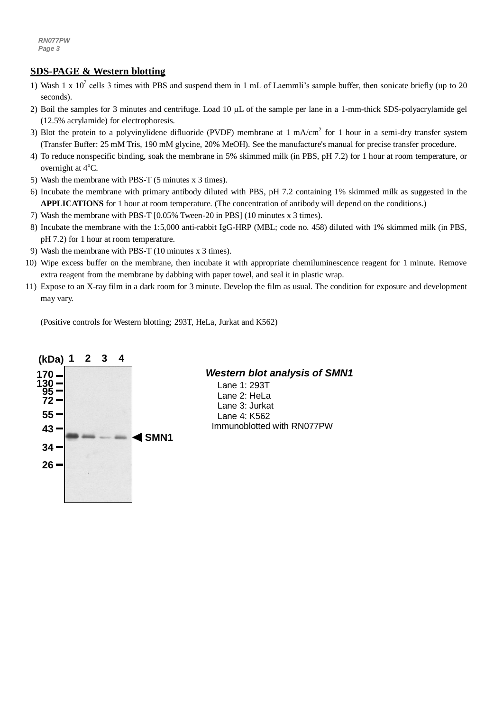## **SDS-PAGE & Western blotting**

- 1) Wash 1 x  $10^7$  cells 3 times with PBS and suspend them in 1 mL of Laemmli's sample buffer, then sonicate briefly (up to 20 seconds).
- 2) Boil the samples for 3 minutes and centrifuge. Load 10  $\mu$ L of the sample per lane in a 1-mm-thick SDS-polyacrylamide gel (12.5% acrylamide) for electrophoresis.
- 3) Blot the protein to a polyvinylidene difluoride (PVDF) membrane at  $1 \text{ mA/cm}^2$  for  $1 \text{ hour}$  in a semi-dry transfer system (Transfer Buffer: 25 mM Tris, 190 mM glycine, 20% MeOH). See the manufacture's manual for precise transfer procedure.
- 4) To reduce nonspecific binding, soak the membrane in 5% skimmed milk (in PBS, pH 7.2) for 1 hour at room temperature, or overnight at  $4^{\circ}$ C.
- 5) Wash the membrane with PBS-T (5 minutes x 3 times).
- 6) Incubate the membrane with primary antibody diluted with PBS, pH 7.2 containing 1% skimmed milk as suggested in the **APPLICATIONS** for 1 hour at room temperature. (The concentration of antibody will depend on the conditions.)
- 7) Wash the membrane with PBS-T [0.05% Tween-20 in PBS] (10 minutes x 3 times).
- 8) Incubate the membrane with the 1:5,000 anti-rabbit IgG-HRP (MBL; code no. 458) diluted with 1% skimmed milk (in PBS, pH 7.2) for 1 hour at room temperature.
- 9) Wash the membrane with PBS-T (10 minutes x 3 times).
- 10) Wipe excess buffer on the membrane, then incubate it with appropriate chemiluminescence reagent for 1 minute. Remove extra reagent from the membrane by dabbing with paper towel, and seal it in plastic wrap.
- 11) Expose to an X-ray film in a dark room for 3 minute. Develop the film as usual. The condition for exposure and development may vary.

(Positive controls for Western blotting; 293T, HeLa, Jurkat and K562)



# *Western blot analysis of SMN1*

Lane 1: 293T Lane 2: HeLa Lane 3: Jurkat Lane 4: K562 Immunoblotted with RN077PW